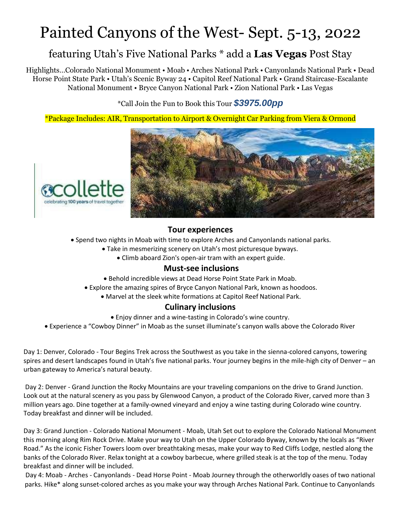# Painted Canyons of the West- Sept. 5-13, 2022

## featuring Utah's Five National Parks \* add a **Las Vegas** Post Stay

Highlights…Colorado National Monument • Moab • Arches National Park • Canyonlands National Park • Dead Horse Point State Park • Utah's Scenic Byway 24 • Capitol Reef National Park • Grand Staircase-Escalante National Monument • Bryce Canyon National Park • Zion National Park • Las Vegas

\*Call Join the Fun to Book this Tour *\$3975.00pp*

\*Package Includes: AIR, Transportation to Airport & Overnight Car Parking from Viera & Ormond



#### **Tour experiences**

- Spend two nights in Moab with time to explore Arches and Canyonlands national parks.
	- Take in mesmerizing scenery on Utah's most picturesque byways.
		- Climb aboard Zion's open-air tram with an expert guide.

#### **Must-see inclusions**

- Behold incredible views at Dead Horse Point State Park in Moab.
- Explore the amazing spires of Bryce Canyon National Park, known as hoodoos.
	- Marvel at the sleek white formations at Capitol Reef National Park.

### **Culinary inclusions**

- Enjoy dinner and a wine-tasting in Colorado's wine country.
- Experience a "Cowboy Dinner" in Moab as the sunset illuminate's canyon walls above the Colorado River

Day 1: Denver, Colorado - Tour Begins Trek across the Southwest as you take in the sienna-colored canyons, towering spires and desert landscapes found in Utah's five national parks. Your journey begins in the mile-high city of Denver – an urban gateway to America's natural beauty.

Day 2: Denver - Grand Junction the Rocky Mountains are your traveling companions on the drive to Grand Junction. Look out at the natural scenery as you pass by Glenwood Canyon, a product of the Colorado River, carved more than 3 million years ago. Dine together at a family-owned vineyard and enjoy a wine tasting during Colorado wine country. Today breakfast and dinner will be included.

Day 3: Grand Junction - Colorado National Monument - Moab, Utah Set out to explore the Colorado National Monument this morning along Rim Rock Drive. Make your way to Utah on the Upper Colorado Byway, known by the locals as "River Road." As the iconic Fisher Towers loom over breathtaking mesas, make your way to Red Cliffs Lodge, nestled along the banks of the Colorado River. Relax tonight at a cowboy barbecue, where grilled steak is at the top of the menu. Today breakfast and dinner will be included.

Day 4: Moab - Arches - Canyonlands - Dead Horse Point - Moab Journey through the otherworldly oases of two national parks. Hike\* along sunset-colored arches as you make your way through Arches National Park. Continue to Canyonlands